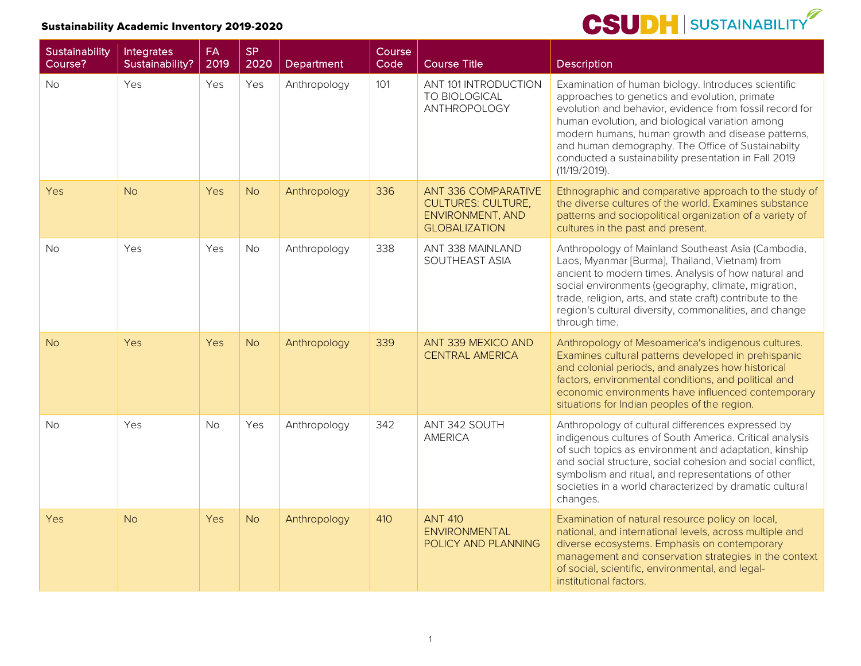| Sustainability<br>Course? | Integrates<br>Sustainability? | <b>FA</b><br>2019 | <b>SP</b><br>2020 | Department   | Course<br>Code | <b>Course Title</b>                                                                                        | <b>Description</b>                                                                                                                                                                                                                                                                                                                                                                                    |
|---------------------------|-------------------------------|-------------------|-------------------|--------------|----------------|------------------------------------------------------------------------------------------------------------|-------------------------------------------------------------------------------------------------------------------------------------------------------------------------------------------------------------------------------------------------------------------------------------------------------------------------------------------------------------------------------------------------------|
| <b>No</b>                 | Yes                           | Yes               | Yes               | Anthropology | 101            | ANT 101 INTRODUCTION<br>TO BIOLOGICAL<br>ANTHROPOLOGY                                                      | Examination of human biology. Introduces scientific<br>approaches to genetics and evolution, primate<br>evolution and behavior, evidence from fossil record for<br>human evolution, and biological variation among<br>modern humans, human growth and disease patterns,<br>and human demography. The Office of Sustainabilty<br>conducted a sustainability presentation in Fall 2019<br>(11/19/2019). |
| Yes                       | <b>No</b>                     | <b>Yes</b>        | <b>No</b>         | Anthropology | 336            | <b>ANT 336 COMPARATIVE</b><br><b>CULTURES: CULTURE,</b><br><b>ENVIRONMENT, AND</b><br><b>GLOBALIZATION</b> | Ethnographic and comparative approach to the study of<br>the diverse cultures of the world. Examines substance<br>patterns and sociopolitical organization of a variety of<br>cultures in the past and present.                                                                                                                                                                                       |
| <b>No</b>                 | Yes                           | Yes               | No                | Anthropology | 338            | ANT 338 MAINLAND<br>SOUTHEAST ASIA                                                                         | Anthropology of Mainland Southeast Asia (Cambodia,<br>Laos, Myanmar [Burma], Thailand, Vietnam) from<br>ancient to modern times. Analysis of how natural and<br>social environments (geography, climate, migration,<br>trade, religion, arts, and state craft) contribute to the<br>region's cultural diversity, commonalities, and change<br>through time.                                           |
| <b>No</b>                 | Yes                           | Yes               | <b>No</b>         | Anthropology | 339            | ANT 339 MEXICO AND<br><b>CENTRAL AMERICA</b>                                                               | Anthropology of Mesoamerica's indigenous cultures.<br>Examines cultural patterns developed in prehispanic<br>and colonial periods, and analyzes how historical<br>factors, environmental conditions, and political and<br>economic environments have influenced contemporary<br>situations for Indian peoples of the region.                                                                          |
| <b>No</b>                 | Yes                           | No                | Yes               | Anthropology | 342            | ANT 342 SOUTH<br><b>AMERICA</b>                                                                            | Anthropology of cultural differences expressed by<br>indigenous cultures of South America. Critical analysis<br>of such topics as environment and adaptation, kinship<br>and social structure, social cohesion and social conflict,<br>symbolism and ritual, and representations of other<br>societies in a world characterized by dramatic cultural<br>changes.                                      |
| Yes                       | <b>No</b>                     | Yes               | <b>No</b>         | Anthropology | 410            | <b>ANT 410</b><br><b>ENVIRONMENTAL</b><br>POLICY AND PLANNING                                              | Examination of natural resource policy on local,<br>national, and international levels, across multiple and<br>diverse ecosystems. Emphasis on contemporary<br>management and conservation strategies in the context<br>of social, scientific, environmental, and legal-<br>institutional factors.                                                                                                    |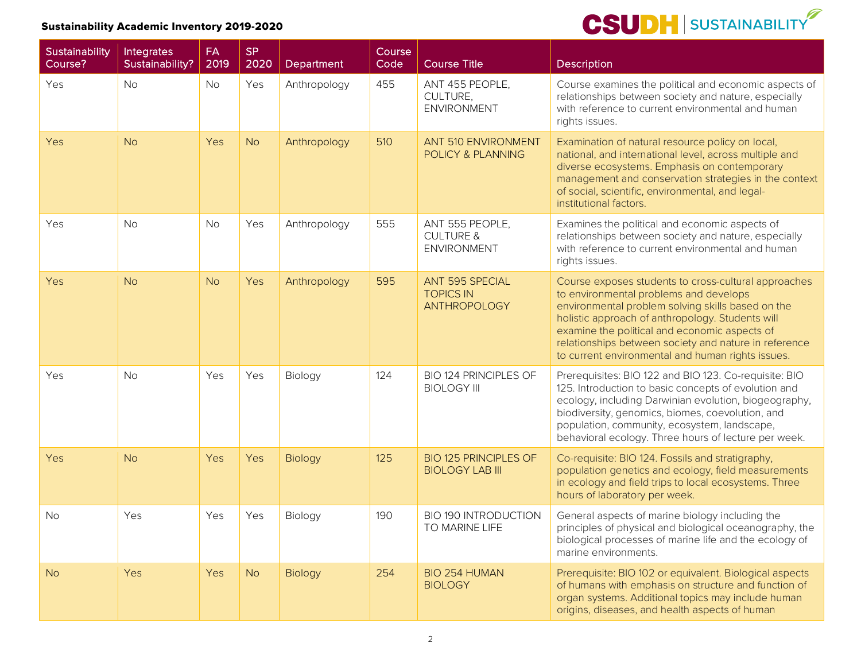| Sustainability<br>Course? | Integrates<br>Sustainability? | <b>FA</b><br>2019 | <b>SP</b><br>2020 | Department     | Course<br>Code | <b>Course Title</b>                                           | Description                                                                                                                                                                                                                                                                                                                                                            |
|---------------------------|-------------------------------|-------------------|-------------------|----------------|----------------|---------------------------------------------------------------|------------------------------------------------------------------------------------------------------------------------------------------------------------------------------------------------------------------------------------------------------------------------------------------------------------------------------------------------------------------------|
| Yes                       | <b>No</b>                     | <b>No</b>         | Yes               | Anthropology   | 455            | ANT 455 PEOPLE,<br>CULTURE,<br><b>ENVIRONMENT</b>             | Course examines the political and economic aspects of<br>relationships between society and nature, especially<br>with reference to current environmental and human<br>rights issues.                                                                                                                                                                                   |
| Yes                       | <b>No</b>                     | Yes               | <b>No</b>         | Anthropology   | 510            | <b>ANT 510 ENVIRONMENT</b><br>POLICY & PLANNING               | Examination of natural resource policy on local,<br>national, and international level, across multiple and<br>diverse ecosystems. Emphasis on contemporary<br>management and conservation strategies in the context<br>of social, scientific, environmental, and legal-<br>institutional factors.                                                                      |
| Yes                       | <b>No</b>                     | <b>No</b>         | Yes               | Anthropology   | 555            | ANT 555 PEOPLE,<br><b>CULTURE &amp;</b><br><b>ENVIRONMENT</b> | Examines the political and economic aspects of<br>relationships between society and nature, especially<br>with reference to current environmental and human<br>rights issues.                                                                                                                                                                                          |
| Yes                       | <b>No</b>                     | <b>No</b>         | Yes               | Anthropology   | 595            | ANT 595 SPECIAL<br><b>TOPICS IN</b><br><b>ANTHROPOLOGY</b>    | Course exposes students to cross-cultural approaches<br>to environmental problems and develops<br>environmental problem solving skills based on the<br>holistic approach of anthropology. Students will<br>examine the political and economic aspects of<br>relationships between society and nature in reference<br>to current environmental and human rights issues. |
| Yes                       | <b>No</b>                     | Yes               | Yes               | Biology        | 124            | BIO 124 PRINCIPLES OF<br><b>BIOLOGY III</b>                   | Prerequisites: BIO 122 and BIO 123. Co-requisite: BIO<br>125. Introduction to basic concepts of evolution and<br>ecology, including Darwinian evolution, biogeography,<br>biodiversity, genomics, biomes, coevolution, and<br>population, community, ecosystem, landscape,<br>behavioral ecology. Three hours of lecture per week.                                     |
| Yes                       | <b>No</b>                     | Yes               | Yes               | <b>Biology</b> | 125            | <b>BIO 125 PRINCIPLES OF</b><br><b>BIOLOGY LAB III</b>        | Co-requisite: BIO 124. Fossils and stratigraphy,<br>population genetics and ecology, field measurements<br>in ecology and field trips to local ecosystems. Three<br>hours of laboratory per week.                                                                                                                                                                      |
| <b>No</b>                 | Yes                           | Yes               | Yes               | Biology        | 190            | <b>BIO 190 INTRODUCTION</b><br>TO MARINE LIFE                 | General aspects of marine biology including the<br>principles of physical and biological oceanography, the<br>biological processes of marine life and the ecology of<br>marine environments.                                                                                                                                                                           |
| <b>No</b>                 | Yes                           | <b>Yes</b>        | <b>No</b>         | Biology        | 254            | BIO 254 HUMAN<br><b>BIOLOGY</b>                               | Prerequisite: BIO 102 or equivalent. Biological aspects<br>of humans with emphasis on structure and function of<br>organ systems. Additional topics may include human<br>origins, diseases, and health aspects of human                                                                                                                                                |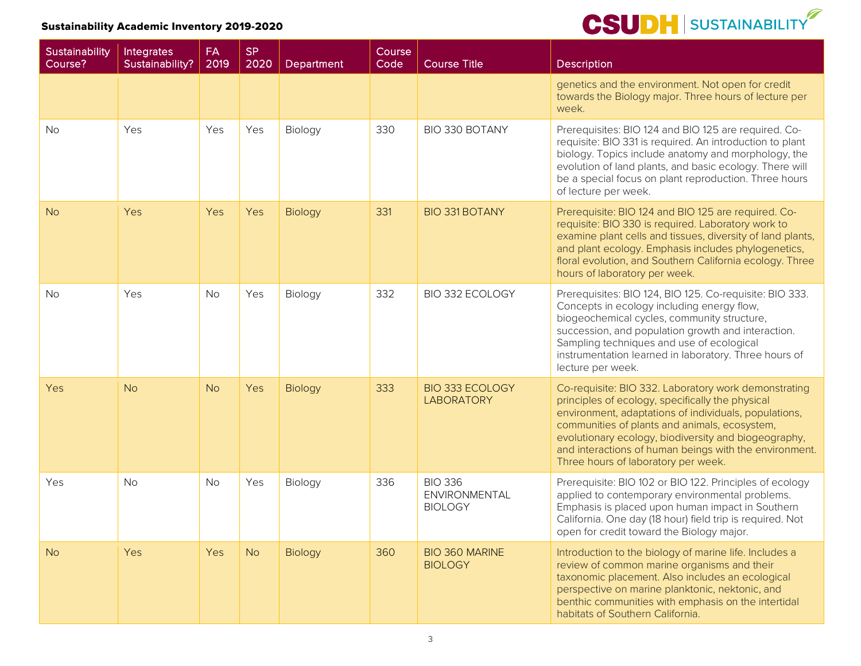| Sustainability<br>Course? | Integrates<br>Sustainability? | <b>FA</b><br>2019 | <b>SP</b><br>2020 | Department | Course<br>Code | <b>Course Title</b>                               | <b>Description</b>                                                                                                                                                                                                                                                                                                                                                          |
|---------------------------|-------------------------------|-------------------|-------------------|------------|----------------|---------------------------------------------------|-----------------------------------------------------------------------------------------------------------------------------------------------------------------------------------------------------------------------------------------------------------------------------------------------------------------------------------------------------------------------------|
|                           |                               |                   |                   |            |                |                                                   | genetics and the environment. Not open for credit<br>towards the Biology major. Three hours of lecture per<br>week.                                                                                                                                                                                                                                                         |
| <b>No</b>                 | Yes                           | Yes               | Yes               | Biology    | 330            | BIO 330 BOTANY                                    | Prerequisites: BIO 124 and BIO 125 are required. Co-<br>requisite: BIO 331 is required. An introduction to plant<br>biology. Topics include anatomy and morphology, the<br>evolution of land plants, and basic ecology. There will<br>be a special focus on plant reproduction. Three hours<br>of lecture per week.                                                         |
| <b>No</b>                 | Yes                           | Yes               | Yes               | Biology    | 331            | <b>BIO 331 BOTANY</b>                             | Prerequisite: BIO 124 and BIO 125 are required. Co-<br>requisite: BIO 330 is required. Laboratory work to<br>examine plant cells and tissues, diversity of land plants,<br>and plant ecology. Emphasis includes phylogenetics,<br>floral evolution, and Southern California ecology. Three<br>hours of laboratory per week.                                                 |
| <b>No</b>                 | Yes                           | No                | Yes               | Biology    | 332            | BIO 332 ECOLOGY                                   | Prerequisites: BIO 124, BIO 125. Co-requisite: BIO 333.<br>Concepts in ecology including energy flow,<br>biogeochemical cycles, community structure,<br>succession, and population growth and interaction.<br>Sampling techniques and use of ecological<br>instrumentation learned in laboratory. Three hours of<br>lecture per week.                                       |
| Yes                       | <b>No</b>                     | <b>No</b>         | Yes               | Biology    | 333            | <b>BIO 333 ECOLOGY</b><br><b>LABORATORY</b>       | Co-requisite: BIO 332. Laboratory work demonstrating<br>principles of ecology, specifically the physical<br>environment, adaptations of individuals, populations,<br>communities of plants and animals, ecosystem,<br>evolutionary ecology, biodiversity and biogeography,<br>and interactions of human beings with the environment.<br>Three hours of laboratory per week. |
| Yes                       | <b>No</b>                     | <b>No</b>         | Yes               | Biology    | 336            | <b>BIO 336</b><br>ENVIRONMENTAL<br><b>BIOLOGY</b> | Prerequisite: BIO 102 or BIO 122. Principles of ecology<br>applied to contemporary environmental problems.<br>Emphasis is placed upon human impact in Southern<br>California. One day (18 hour) field trip is required. Not<br>open for credit toward the Biology major.                                                                                                    |
| <b>No</b>                 | Yes                           | Yes               | <b>No</b>         | Biology    | 360            | <b>BIO 360 MARINE</b><br><b>BIOLOGY</b>           | Introduction to the biology of marine life. Includes a<br>review of common marine organisms and their<br>taxonomic placement. Also includes an ecological<br>perspective on marine planktonic, nektonic, and<br>benthic communities with emphasis on the intertidal<br>habitats of Southern California.                                                                     |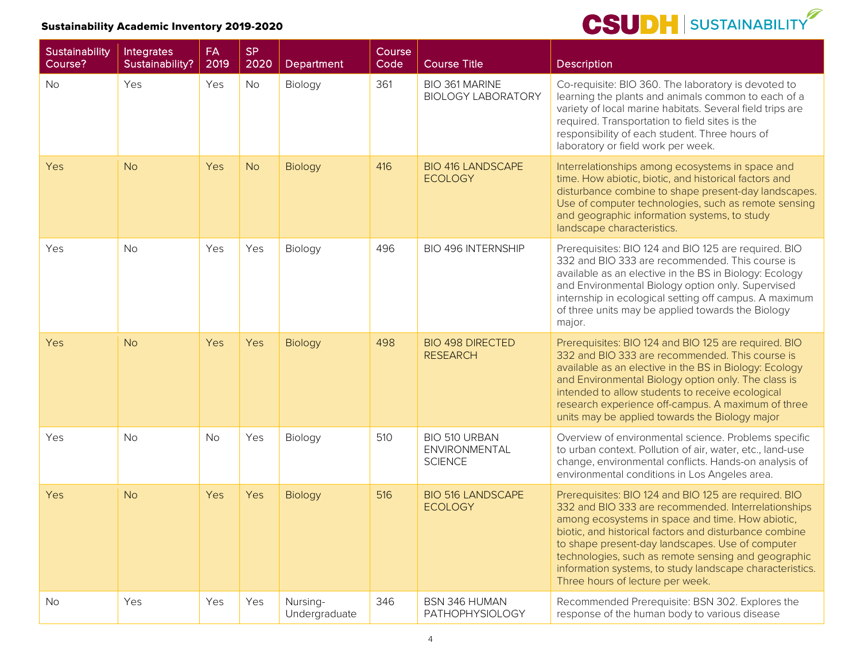

| Sustainability<br>Course? | Integrates<br>Sustainability? | <b>FA</b><br>2019 | <b>SP</b><br>2020 | Department                | Course<br>Code <sup>'</sup> | <b>Course Title</b>                              | <b>Description</b>                                                                                                                                                                                                                                                                                                                                                                                                                   |
|---------------------------|-------------------------------|-------------------|-------------------|---------------------------|-----------------------------|--------------------------------------------------|--------------------------------------------------------------------------------------------------------------------------------------------------------------------------------------------------------------------------------------------------------------------------------------------------------------------------------------------------------------------------------------------------------------------------------------|
| <b>No</b>                 | Yes                           | Yes               | <b>No</b>         | Biology                   | 361                         | BIO 361 MARINE<br><b>BIOLOGY LABORATORY</b>      | Co-requisite: BIO 360. The laboratory is devoted to<br>learning the plants and animals common to each of a<br>variety of local marine habitats. Several field trips are<br>required. Transportation to field sites is the<br>responsibility of each student. Three hours of<br>laboratory or field work per week.                                                                                                                    |
| Yes                       | <b>No</b>                     | Yes               | <b>No</b>         | Biology                   | 416                         | <b>BIO 416 LANDSCAPE</b><br><b>ECOLOGY</b>       | Interrelationships among ecosystems in space and<br>time. How abiotic, biotic, and historical factors and<br>disturbance combine to shape present-day landscapes.<br>Use of computer technologies, such as remote sensing<br>and geographic information systems, to study<br>landscape characteristics.                                                                                                                              |
| Yes                       | <b>No</b>                     | Yes               | Yes               | Biology                   | 496                         | <b>BIO 496 INTERNSHIP</b>                        | Prerequisites: BIO 124 and BIO 125 are required. BIO<br>332 and BIO 333 are recommended. This course is<br>available as an elective in the BS in Biology: Ecology<br>and Environmental Biology option only. Supervised<br>internship in ecological setting off campus. A maximum<br>of three units may be applied towards the Biology<br>major.                                                                                      |
| Yes                       | <b>No</b>                     | Yes               | Yes               | <b>Biology</b>            | 498                         | <b>BIO 498 DIRECTED</b><br><b>RESEARCH</b>       | Prerequisites: BIO 124 and BIO 125 are required. BIO<br>332 and BIO 333 are recommended. This course is<br>available as an elective in the BS in Biology: Ecology<br>and Environmental Biology option only. The class is<br>intended to allow students to receive ecological<br>research experience off-campus. A maximum of three<br>units may be applied towards the Biology major                                                 |
| Yes                       | <b>No</b>                     | <b>No</b>         | Yes               | Biology                   | 510                         | BIO 510 URBAN<br>ENVIRONMENTAL<br><b>SCIENCE</b> | Overview of environmental science. Problems specific<br>to urban context. Pollution of air, water, etc., land-use<br>change, environmental conflicts. Hands-on analysis of<br>environmental conditions in Los Angeles area.                                                                                                                                                                                                          |
| Yes                       | <b>No</b>                     | Yes               | Yes               | Biology                   | 516                         | <b>BIO 516 LANDSCAPE</b><br><b>ECOLOGY</b>       | Prerequisites: BIO 124 and BIO 125 are required. BIO<br>332 and BIO 333 are recommended. Interrelationships<br>among ecosystems in space and time. How abiotic,<br>biotic, and historical factors and disturbance combine<br>to shape present-day landscapes. Use of computer<br>technologies, such as remote sensing and geographic<br>information systems, to study landscape characteristics.<br>Three hours of lecture per week. |
| No                        | Yes                           | Yes               | Yes               | Nursing-<br>Undergraduate | 346                         | BSN 346 HUMAN<br>PATHOPHYSIOLOGY                 | Recommended Prerequisite: BSN 302. Explores the<br>response of the human body to various disease                                                                                                                                                                                                                                                                                                                                     |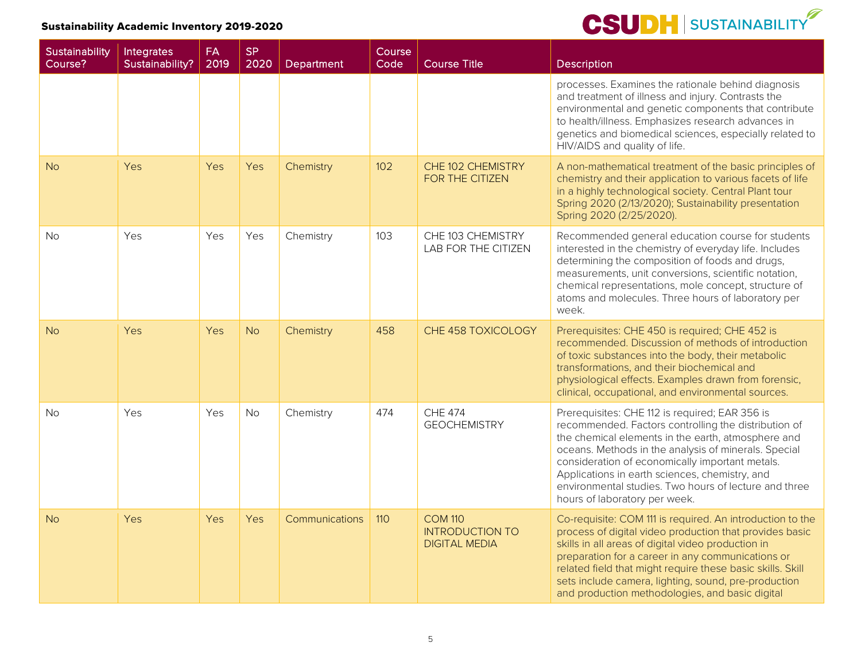| Sustainability<br>Course? | Integrates<br>Sustainability? | FA<br>2019 | <b>SP</b><br>2020 | Department     | <b>Course</b><br>Code | <b>Course Title</b>                                              | Description                                                                                                                                                                                                                                                                                                                                                                                                         |
|---------------------------|-------------------------------|------------|-------------------|----------------|-----------------------|------------------------------------------------------------------|---------------------------------------------------------------------------------------------------------------------------------------------------------------------------------------------------------------------------------------------------------------------------------------------------------------------------------------------------------------------------------------------------------------------|
|                           |                               |            |                   |                |                       |                                                                  | processes. Examines the rationale behind diagnosis<br>and treatment of illness and injury. Contrasts the<br>environmental and genetic components that contribute<br>to health/illness. Emphasizes research advances in<br>genetics and biomedical sciences, especially related to<br>HIV/AIDS and quality of life.                                                                                                  |
| <b>No</b>                 | Yes                           | Yes        | Yes               | Chemistry      | 102                   | CHE 102 CHEMISTRY<br>FOR THE CITIZEN                             | A non-mathematical treatment of the basic principles of<br>chemistry and their application to various facets of life<br>in a highly technological society. Central Plant tour<br>Spring 2020 (2/13/2020); Sustainability presentation<br>Spring 2020 (2/25/2020).                                                                                                                                                   |
| <b>No</b>                 | Yes                           | <b>Yes</b> | Yes               | Chemistry      | 103                   | CHE 103 CHEMISTRY<br>LAB FOR THE CITIZEN                         | Recommended general education course for students<br>interested in the chemistry of everyday life. Includes<br>determining the composition of foods and drugs,<br>measurements, unit conversions, scientific notation,<br>chemical representations, mole concept, structure of<br>atoms and molecules. Three hours of laboratory per<br>week.                                                                       |
| <b>No</b>                 | Yes                           | Yes        | <b>No</b>         | Chemistry      | 458                   | CHE 458 TOXICOLOGY                                               | Prerequisites: CHE 450 is required; CHE 452 is<br>recommended. Discussion of methods of introduction<br>of toxic substances into the body, their metabolic<br>transformations, and their biochemical and<br>physiological effects. Examples drawn from forensic,<br>clinical, occupational, and environmental sources.                                                                                              |
| <b>No</b>                 | Yes                           | Yes        | <b>No</b>         | Chemistry      | 474                   | <b>CHE 474</b><br><b>GEOCHEMISTRY</b>                            | Prerequisites: CHE 112 is required; EAR 356 is<br>recommended. Factors controlling the distribution of<br>the chemical elements in the earth, atmosphere and<br>oceans. Methods in the analysis of minerals. Special<br>consideration of economically important metals.<br>Applications in earth sciences, chemistry, and<br>environmental studies. Two hours of lecture and three<br>hours of laboratory per week. |
| <b>No</b>                 | Yes                           | Yes        | Yes               | Communications | 110                   | <b>COM 110</b><br><b>INTRODUCTION TO</b><br><b>DIGITAL MEDIA</b> | Co-requisite: COM 111 is required. An introduction to the<br>process of digital video production that provides basic<br>skills in all areas of digital video production in<br>preparation for a career in any communications or<br>related field that might require these basic skills. Skill<br>sets include camera, lighting, sound, pre-production<br>and production methodologies, and basic digital            |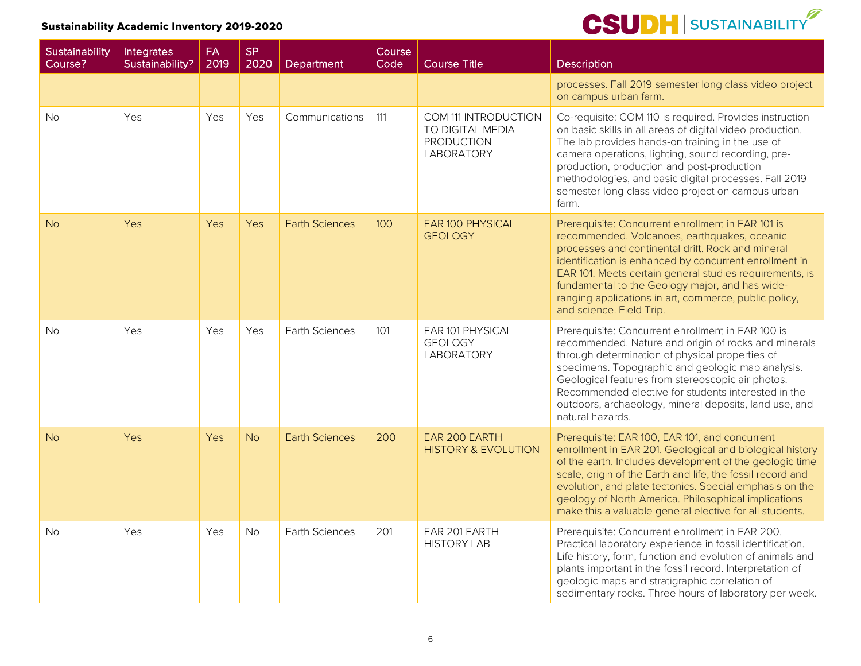| Sustainability<br>Course? | Integrates<br>Sustainability? | <b>FA</b><br>2019 | <b>SP</b><br>2020 | Department            | Course<br>Code | <b>Course Title</b>                                                                | <b>Description</b>                                                                                                                                                                                                                                                                                                                                                                                                  |
|---------------------------|-------------------------------|-------------------|-------------------|-----------------------|----------------|------------------------------------------------------------------------------------|---------------------------------------------------------------------------------------------------------------------------------------------------------------------------------------------------------------------------------------------------------------------------------------------------------------------------------------------------------------------------------------------------------------------|
|                           |                               |                   |                   |                       |                |                                                                                    | processes. Fall 2019 semester long class video project<br>on campus urban farm.                                                                                                                                                                                                                                                                                                                                     |
| No.                       | Yes                           | Yes               | Yes               | Communications        | 111            | COM 111 INTRODUCTION<br>TO DIGITAL MEDIA<br><b>PRODUCTION</b><br><b>LABORATORY</b> | Co-requisite: COM 110 is required. Provides instruction<br>on basic skills in all areas of digital video production.<br>The lab provides hands-on training in the use of<br>camera operations, lighting, sound recording, pre-<br>production, production and post-production<br>methodologies, and basic digital processes. Fall 2019<br>semester long class video project on campus urban<br>farm.                 |
| <b>No</b>                 | Yes                           | Yes               | Yes               | <b>Earth Sciences</b> | 100            | EAR 100 PHYSICAL<br><b>GEOLOGY</b>                                                 | Prerequisite: Concurrent enrollment in EAR 101 is<br>recommended. Volcanoes, earthquakes, oceanic<br>processes and continental drift. Rock and mineral<br>identification is enhanced by concurrent enrollment in<br>EAR 101. Meets certain general studies requirements, is<br>fundamental to the Geology major, and has wide-<br>ranging applications in art, commerce, public policy,<br>and science. Field Trip. |
| <b>No</b>                 | Yes                           | Yes               | Yes               | <b>Earth Sciences</b> | 101            | EAR 101 PHYSICAL<br><b>GEOLOGY</b><br>LABORATORY                                   | Prerequisite: Concurrent enrollment in EAR 100 is<br>recommended. Nature and origin of rocks and minerals<br>through determination of physical properties of<br>specimens. Topographic and geologic map analysis.<br>Geological features from stereoscopic air photos.<br>Recommended elective for students interested in the<br>outdoors, archaeology, mineral deposits, land use, and<br>natural hazards.         |
| <b>No</b>                 | Yes                           | Yes               | <b>No</b>         | <b>Earth Sciences</b> | 200            | EAR 200 EARTH<br><b>HISTORY &amp; EVOLUTION</b>                                    | Prerequisite: EAR 100, EAR 101, and concurrent<br>enrollment in EAR 201. Geological and biological history<br>of the earth. Includes development of the geologic time<br>scale, origin of the Earth and life, the fossil record and<br>evolution, and plate tectonics. Special emphasis on the<br>geology of North America. Philosophical implications<br>make this a valuable general elective for all students.   |
| <b>No</b>                 | Yes                           | Yes               | No                | Earth Sciences        | 201            | EAR 201 EARTH<br><b>HISTORY LAB</b>                                                | Prerequisite: Concurrent enrollment in EAR 200.<br>Practical laboratory experience in fossil identification.<br>Life history, form, function and evolution of animals and<br>plants important in the fossil record. Interpretation of<br>geologic maps and stratigraphic correlation of<br>sedimentary rocks. Three hours of laboratory per week.                                                                   |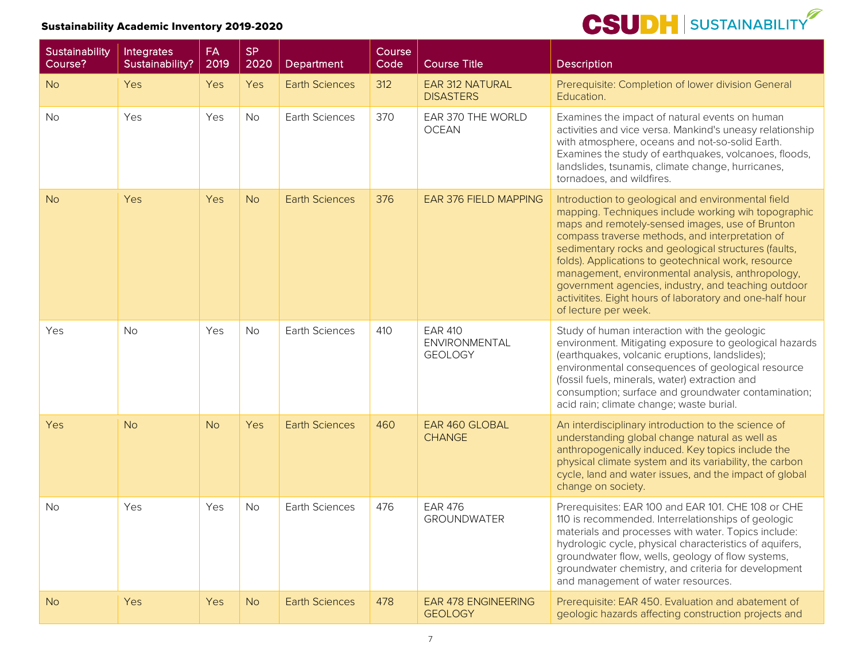| Sustainability<br>Course? | Integrates<br>Sustainability? | <b>FA</b><br>2019 | <b>SP</b><br>2020 | Department            | Course<br>Code | Course Title                                      | Description                                                                                                                                                                                                                                                                                                                                                                                                                                                                                                                    |
|---------------------------|-------------------------------|-------------------|-------------------|-----------------------|----------------|---------------------------------------------------|--------------------------------------------------------------------------------------------------------------------------------------------------------------------------------------------------------------------------------------------------------------------------------------------------------------------------------------------------------------------------------------------------------------------------------------------------------------------------------------------------------------------------------|
| <b>No</b>                 | Yes                           | Yes               | Yes               | <b>Earth Sciences</b> | 312            | <b>EAR 312 NATURAL</b><br><b>DISASTERS</b>        | Prerequisite: Completion of lower division General<br>Education.                                                                                                                                                                                                                                                                                                                                                                                                                                                               |
| <b>No</b>                 | Yes                           | Yes               | <b>No</b>         | <b>Earth Sciences</b> | 370            | EAR 370 THE WORLD<br><b>OCEAN</b>                 | Examines the impact of natural events on human<br>activities and vice versa. Mankind's uneasy relationship<br>with atmosphere, oceans and not-so-solid Earth.<br>Examines the study of earthquakes, volcanoes, floods,<br>landslides, tsunamis, climate change, hurricanes,<br>tornadoes, and wildfires.                                                                                                                                                                                                                       |
| <b>No</b>                 | Yes                           | Yes               | <b>No</b>         | <b>Earth Sciences</b> | 376            | <b>EAR 376 FIELD MAPPING</b>                      | Introduction to geological and environmental field<br>mapping. Techniques include working wih topographic<br>maps and remotely-sensed images, use of Brunton<br>compass traverse methods, and interpretation of<br>sedimentary rocks and geological structures (faults,<br>folds). Applications to geotechnical work, resource<br>management, environmental analysis, anthropology,<br>government agencies, industry, and teaching outdoor<br>activitites. Eight hours of laboratory and one-half hour<br>of lecture per week. |
| Yes                       | <b>No</b>                     | Yes               | <b>No</b>         | <b>Earth Sciences</b> | 410            | <b>EAR 410</b><br>ENVIRONMENTAL<br><b>GEOLOGY</b> | Study of human interaction with the geologic<br>environment. Mitigating exposure to geological hazards<br>(earthquakes, volcanic eruptions, landslides);<br>environmental consequences of geological resource<br>(fossil fuels, minerals, water) extraction and<br>consumption; surface and groundwater contamination;<br>acid rain; climate change; waste burial.                                                                                                                                                             |
| <b>Yes</b>                | <b>No</b>                     | <b>No</b>         | Yes               | <b>Earth Sciences</b> | 460            | <b>EAR 460 GLOBAL</b><br><b>CHANGE</b>            | An interdisciplinary introduction to the science of<br>understanding global change natural as well as<br>anthropogenically induced. Key topics include the<br>physical climate system and its variability, the carbon<br>cycle, land and water issues, and the impact of global<br>change on society.                                                                                                                                                                                                                          |
| <b>No</b>                 | Yes                           | Yes               | <b>No</b>         | Earth Sciences        | 476            | <b>EAR 476</b><br><b>GROUNDWATER</b>              | Prerequisites: EAR 100 and EAR 101. CHE 108 or CHE<br>110 is recommended. Interrelationships of geologic<br>materials and processes with water. Topics include:<br>hydrologic cycle, physical characteristics of aquifers,<br>groundwater flow, wells, geology of flow systems,<br>groundwater chemistry, and criteria for development<br>and management of water resources.                                                                                                                                                   |
| <b>No</b>                 | Yes                           | Yes               | <b>No</b>         | <b>Earth Sciences</b> | 478            | <b>EAR 478 ENGINEERING</b><br><b>GEOLOGY</b>      | Prerequisite: EAR 450. Evaluation and abatement of<br>geologic hazards affecting construction projects and                                                                                                                                                                                                                                                                                                                                                                                                                     |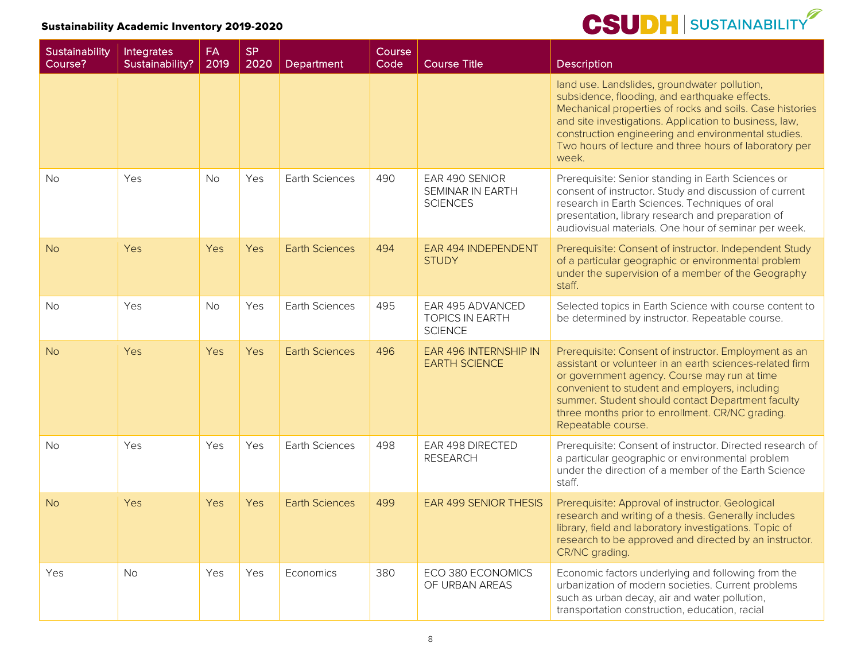| Sustainability<br>Course? | Integrates<br>Sustainability? | <b>FA</b><br>2019 | <b>SP</b><br>2020 | Department            | Course<br>Code | <b>Course Title</b>                                          | <b>Description</b>                                                                                                                                                                                                                                                                                                                                 |
|---------------------------|-------------------------------|-------------------|-------------------|-----------------------|----------------|--------------------------------------------------------------|----------------------------------------------------------------------------------------------------------------------------------------------------------------------------------------------------------------------------------------------------------------------------------------------------------------------------------------------------|
|                           |                               |                   |                   |                       |                |                                                              | land use. Landslides, groundwater pollution,<br>subsidence, flooding, and earthquake effects.<br>Mechanical properties of rocks and soils. Case histories<br>and site investigations. Application to business, law,<br>construction engineering and environmental studies.<br>Two hours of lecture and three hours of laboratory per<br>week.      |
| <b>No</b>                 | Yes                           | <b>No</b>         | Yes               | Earth Sciences        | 490            | EAR 490 SENIOR<br>SEMINAR IN EARTH<br><b>SCIENCES</b>        | Prerequisite: Senior standing in Earth Sciences or<br>consent of instructor. Study and discussion of current<br>research in Earth Sciences. Techniques of oral<br>presentation, library research and preparation of<br>audiovisual materials. One hour of seminar per week.                                                                        |
| <b>No</b>                 | Yes                           | Yes               | Yes               | <b>Earth Sciences</b> | 494            | EAR 494 INDEPENDENT<br><b>STUDY</b>                          | Prerequisite: Consent of instructor. Independent Study<br>of a particular geographic or environmental problem<br>under the supervision of a member of the Geography<br>staff.                                                                                                                                                                      |
| <b>No</b>                 | Yes                           | <b>No</b>         | Yes               | Earth Sciences        | 495            | EAR 495 ADVANCED<br><b>TOPICS IN EARTH</b><br><b>SCIENCE</b> | Selected topics in Earth Science with course content to<br>be determined by instructor. Repeatable course.                                                                                                                                                                                                                                         |
| <b>No</b>                 | Yes                           | Yes               | Yes               | <b>Earth Sciences</b> | 496            | EAR 496 INTERNSHIP IN<br><b>EARTH SCIENCE</b>                | Prerequisite: Consent of instructor. Employment as an<br>assistant or volunteer in an earth sciences-related firm<br>or government agency. Course may run at time<br>convenient to student and employers, including<br>summer. Student should contact Department faculty<br>three months prior to enrollment. CR/NC grading.<br>Repeatable course. |
| <b>No</b>                 | Yes                           | Yes               | Yes               | Earth Sciences        | 498            | EAR 498 DIRECTED<br><b>RESEARCH</b>                          | Prerequisite: Consent of instructor. Directed research of<br>a particular geographic or environmental problem<br>under the direction of a member of the Earth Science<br>staff.                                                                                                                                                                    |
| <b>No</b>                 | Yes                           | <b>Yes</b>        | Yes               | <b>Earth Sciences</b> | 499            | <b>EAR 499 SENIOR THESIS</b>                                 | Prerequisite: Approval of instructor. Geological<br>research and writing of a thesis. Generally includes<br>library, field and laboratory investigations. Topic of<br>research to be approved and directed by an instructor.<br>CR/NC grading.                                                                                                     |
| Yes                       | <b>No</b>                     | Yes               | Yes               | Economics             | 380            | ECO 380 ECONOMICS<br>OF URBAN AREAS                          | Economic factors underlying and following from the<br>urbanization of modern societies. Current problems<br>such as urban decay, air and water pollution,<br>transportation construction, education, racial                                                                                                                                        |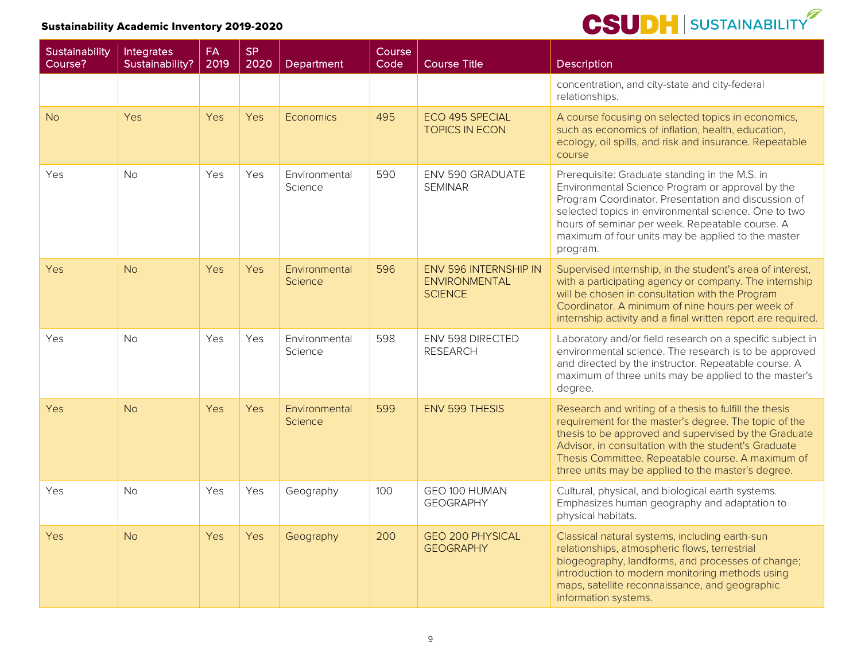| <b>Sustainability</b><br>Course? | Integrates<br>Sustainability? | FA<br>2019 | <b>SP</b><br>2020 | Department                      | Course<br>Code | <b>Course Title</b>                                                    | Description                                                                                                                                                                                                                                                                                                                                |
|----------------------------------|-------------------------------|------------|-------------------|---------------------------------|----------------|------------------------------------------------------------------------|--------------------------------------------------------------------------------------------------------------------------------------------------------------------------------------------------------------------------------------------------------------------------------------------------------------------------------------------|
|                                  |                               |            |                   |                                 |                |                                                                        | concentration, and city-state and city-federal<br>relationships.                                                                                                                                                                                                                                                                           |
| <b>No</b>                        | Yes                           | Yes        | Yes               | Economics                       | 495            | ECO 495 SPECIAL<br><b>TOPICS IN ECON</b>                               | A course focusing on selected topics in economics,<br>such as economics of inflation, health, education,<br>ecology, oil spills, and risk and insurance. Repeatable<br>course                                                                                                                                                              |
| Yes                              | <b>No</b>                     | Yes        | Yes               | Environmental<br>Science        | 590            | ENV 590 GRADUATE<br><b>SEMINAR</b>                                     | Prerequisite: Graduate standing in the M.S. in<br>Environmental Science Program or approval by the<br>Program Coordinator. Presentation and discussion of<br>selected topics in environmental science. One to two<br>hours of seminar per week. Repeatable course. A<br>maximum of four units may be applied to the master<br>program.     |
| <b>Yes</b>                       | <b>No</b>                     | <b>Yes</b> | Yes               | Environmental<br><b>Science</b> | 596            | <b>ENV 596 INTERNSHIP IN</b><br><b>ENVIRONMENTAL</b><br><b>SCIENCE</b> | Supervised internship, in the student's area of interest,<br>with a participating agency or company. The internship<br>will be chosen in consultation with the Program<br>Coordinator. A minimum of nine hours per week of<br>internship activity and a final written report are required.                                                 |
| Yes                              | No                            | Yes        | Yes               | Environmental<br>Science        | 598            | ENV 598 DIRECTED<br><b>RESEARCH</b>                                    | Laboratory and/or field research on a specific subject in<br>environmental science. The research is to be approved<br>and directed by the instructor. Repeatable course. A<br>maximum of three units may be applied to the master's<br>degree.                                                                                             |
| Yes                              | <b>No</b>                     | <b>Yes</b> | Yes               | Environmental<br><b>Science</b> | 599            | <b>ENV 599 THESIS</b>                                                  | Research and writing of a thesis to fulfill the thesis<br>requirement for the master's degree. The topic of the<br>thesis to be approved and supervised by the Graduate<br>Advisor, in consultation with the student's Graduate<br>Thesis Committee. Repeatable course. A maximum of<br>three units may be applied to the master's degree. |
| Yes                              | <b>No</b>                     | Yes        | Yes               | Geography                       | 100            | GEO 100 HUMAN<br><b>GEOGRAPHY</b>                                      | Cultural, physical, and biological earth systems.<br>Emphasizes human geography and adaptation to<br>physical habitats.                                                                                                                                                                                                                    |
| Yes                              | <b>No</b>                     | Yes        | Yes               | Geography                       | 200            | <b>GEO 200 PHYSICAL</b><br><b>GEOGRAPHY</b>                            | Classical natural systems, including earth-sun<br>relationships, atmospheric flows, terrestrial<br>biogeography, landforms, and processes of change;<br>introduction to modern monitoring methods using<br>maps, satellite reconnaissance, and geographic<br>information systems.                                                          |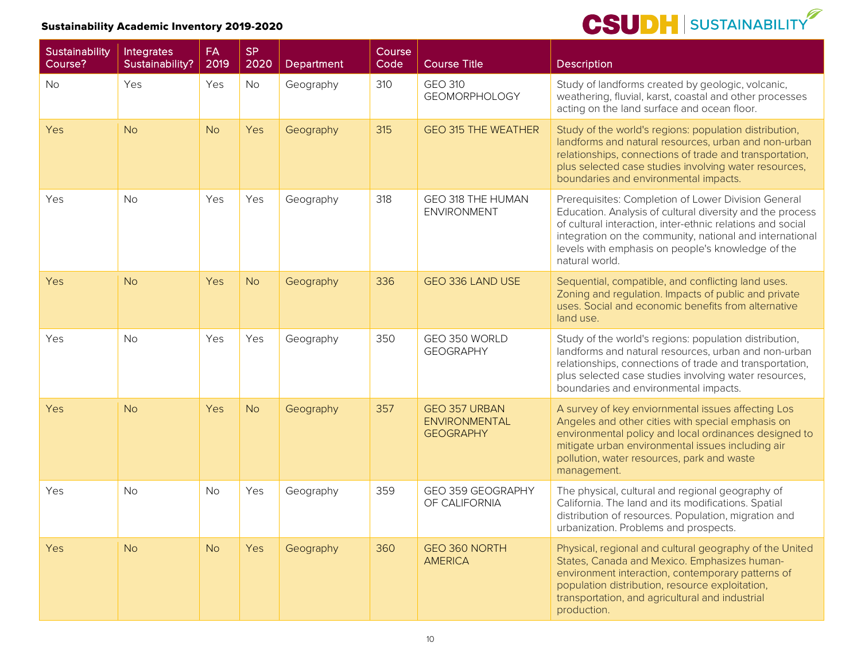| Sustainability<br>Course? | Integrates<br>Sustainability? | <b>FA</b><br>2019 | <b>SP</b><br>2020 | Department | Course<br>Code | <b>Course Title</b>                                              | Description                                                                                                                                                                                                                                                                                                       |
|---------------------------|-------------------------------|-------------------|-------------------|------------|----------------|------------------------------------------------------------------|-------------------------------------------------------------------------------------------------------------------------------------------------------------------------------------------------------------------------------------------------------------------------------------------------------------------|
| <b>No</b>                 | Yes                           | Yes               | No                | Geography  | 310            | <b>GEO 310</b><br><b>GEOMORPHOLOGY</b>                           | Study of landforms created by geologic, volcanic,<br>weathering, fluvial, karst, coastal and other processes<br>acting on the land surface and ocean floor.                                                                                                                                                       |
| Yes                       | <b>No</b>                     | <b>No</b>         | Yes               | Geography  | 315            | <b>GEO 315 THE WEATHER</b>                                       | Study of the world's regions: population distribution,<br>landforms and natural resources, urban and non-urban<br>relationships, connections of trade and transportation,<br>plus selected case studies involving water resources,<br>boundaries and environmental impacts.                                       |
| Yes                       | <b>No</b>                     | Yes               | Yes               | Geography  | 318            | GEO 318 THE HUMAN<br><b>ENVIRONMENT</b>                          | Prerequisites: Completion of Lower Division General<br>Education. Analysis of cultural diversity and the process<br>of cultural interaction, inter-ethnic relations and social<br>integration on the community, national and international<br>levels with emphasis on people's knowledge of the<br>natural world. |
| Yes                       | <b>No</b>                     | Yes               | <b>No</b>         | Geography  | 336            | GEO 336 LAND USE                                                 | Sequential, compatible, and conflicting land uses.<br>Zoning and regulation. Impacts of public and private<br>uses. Social and economic benefits from alternative<br>land use.                                                                                                                                    |
| Yes                       | <b>No</b>                     | Yes               | Yes               | Geography  | 350            | GEO 350 WORLD<br><b>GEOGRAPHY</b>                                | Study of the world's regions: population distribution,<br>landforms and natural resources, urban and non-urban<br>relationships, connections of trade and transportation,<br>plus selected case studies involving water resources,<br>boundaries and environmental impacts.                                       |
| Yes                       | <b>No</b>                     | Yes               | <b>No</b>         | Geography  | 357            | <b>GEO 357 URBAN</b><br><b>ENVIRONMENTAL</b><br><b>GEOGRAPHY</b> | A survey of key enviornmental issues affecting Los<br>Angeles and other cities with special emphasis on<br>environmental policy and local ordinances designed to<br>mitigate urban environmental issues including air<br>pollution, water resources, park and waste<br>management.                                |
| Yes                       | <b>No</b>                     | <b>No</b>         | Yes               | Geography  | 359            | GEO 359 GEOGRAPHY<br>OF CALIFORNIA                               | The physical, cultural and regional geography of<br>California. The land and its modifications. Spatial<br>distribution of resources. Population, migration and<br>urbanization. Problems and prospects.                                                                                                          |
| Yes                       | <b>No</b>                     | <b>No</b>         | <b>Yes</b>        | Geography  | 360            | GEO 360 NORTH<br><b>AMERICA</b>                                  | Physical, regional and cultural geography of the United<br>States, Canada and Mexico. Emphasizes human-<br>environment interaction, contemporary patterns of<br>population distribution, resource exploitation,<br>transportation, and agricultural and industrial<br>production.                                 |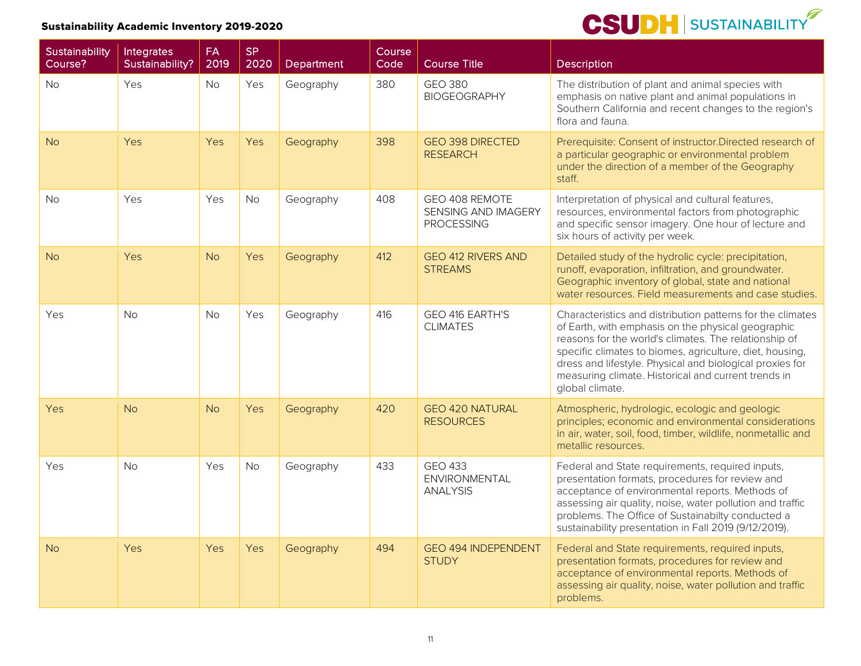| <b>Sustainability</b><br>Course? | Integrates<br>Sustainability? | <b>FA</b><br>2019 | <b>SP</b><br>2020 | Department | Course<br>Code | <b>Course Title</b>                                               | <b>Description</b>                                                                                                                                                                                                                                                                                                                                                          |
|----------------------------------|-------------------------------|-------------------|-------------------|------------|----------------|-------------------------------------------------------------------|-----------------------------------------------------------------------------------------------------------------------------------------------------------------------------------------------------------------------------------------------------------------------------------------------------------------------------------------------------------------------------|
| <b>No</b>                        | Yes                           | No                | Yes               | Geography  | 380            | <b>GEO 380</b><br><b>BIOGEOGRAPHY</b>                             | The distribution of plant and animal species with<br>emphasis on native plant and animal populations in<br>Southern California and recent changes to the region's<br>flora and fauna.                                                                                                                                                                                       |
| <b>No</b>                        | Yes                           | Yes               | Yes               | Geography  | 398            | <b>GEO 398 DIRECTED</b><br><b>RESEARCH</b>                        | Prerequisite: Consent of instructor.Directed research of<br>a particular geographic or environmental problem<br>under the direction of a member of the Geography<br>staff.                                                                                                                                                                                                  |
| <b>No</b>                        | Yes                           | Yes               | <b>No</b>         | Geography  | 408            | GEO 408 REMOTE<br><b>SENSING AND IMAGERY</b><br><b>PROCESSING</b> | Interpretation of physical and cultural features,<br>resources, environmental factors from photographic<br>and specific sensor imagery. One hour of lecture and<br>six hours of activity per week.                                                                                                                                                                          |
| <b>No</b>                        | Yes                           | <b>No</b>         | Yes               | Geography  | 412            | <b>GEO 412 RIVERS AND</b><br><b>STREAMS</b>                       | Detailed study of the hydrolic cycle: precipitation,<br>runoff, evaporation, infiltration, and groundwater.<br>Geographic inventory of global, state and national<br>water resources. Field measurements and case studies.                                                                                                                                                  |
| Yes                              | <b>No</b>                     | <b>No</b>         | Yes               | Geography  | 416            | GEO 416 EARTH'S<br><b>CLIMATES</b>                                | Characteristics and distribution patterns for the climates<br>of Earth, with emphasis on the physical geographic<br>reasons for the world's climates. The relationship of<br>specific climates to biomes, agriculture, diet, housing,<br>dress and lifestyle. Physical and biological proxies for<br>measuring climate. Historical and current trends in<br>global climate. |
| Yes                              | <b>No</b>                     | <b>No</b>         | Yes               | Geography  | 420            | <b>GEO 420 NATURAL</b><br><b>RESOURCES</b>                        | Atmospheric, hydrologic, ecologic and geologic<br>principles; economic and environmental considerations<br>in air, water, soil, food, timber, wildlife, nonmetallic and<br>metallic resources.                                                                                                                                                                              |
| Yes                              | <b>No</b>                     | Yes               | No                | Geography  | 433            | <b>GEO 433</b><br>ENVIRONMENTAL<br><b>ANALYSIS</b>                | Federal and State requirements, required inputs,<br>presentation formats, procedures for review and<br>acceptance of environmental reports. Methods of<br>assessing air quality, noise, water pollution and traffic<br>problems. The Office of Sustainabilty conducted a<br>sustainability presentation in Fall 2019 (9/12/2019).                                           |
| <b>No</b>                        | Yes                           | Yes               | Yes               | Geography  | 494            | <b>GEO 494 INDEPENDENT</b><br><b>STUDY</b>                        | Federal and State requirements, required inputs,<br>presentation formats, procedures for review and<br>acceptance of environmental reports. Methods of<br>assessing air quality, noise, water pollution and traffic<br>problems.                                                                                                                                            |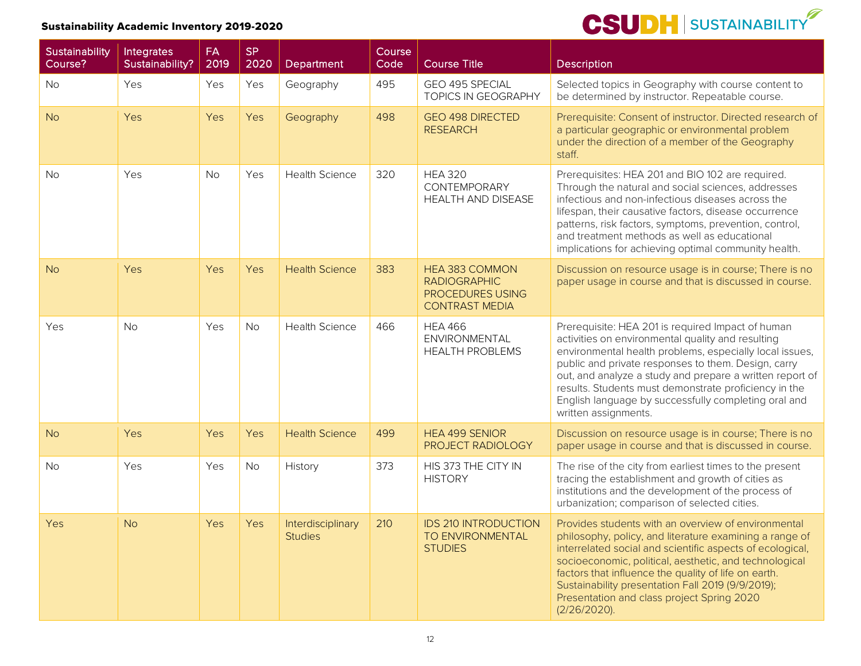| Sustainability<br>Course? | <b>Integrates</b><br>Sustainability? | FA<br>2019 | <b>SP</b><br>2020 | Department                          | Course<br>Code | <b>Course Title</b>                                                                       | <b>Description</b>                                                                                                                                                                                                                                                                                                                                                                                                            |
|---------------------------|--------------------------------------|------------|-------------------|-------------------------------------|----------------|-------------------------------------------------------------------------------------------|-------------------------------------------------------------------------------------------------------------------------------------------------------------------------------------------------------------------------------------------------------------------------------------------------------------------------------------------------------------------------------------------------------------------------------|
| No                        | Yes                                  | Yes        | Yes               | Geography                           | 495            | GEO 495 SPECIAL<br><b>TOPICS IN GEOGRAPHY</b>                                             | Selected topics in Geography with course content to<br>be determined by instructor. Repeatable course.                                                                                                                                                                                                                                                                                                                        |
| <b>No</b>                 | Yes                                  | Yes        | Yes               | Geography                           | 498            | <b>GEO 498 DIRECTED</b><br><b>RESEARCH</b>                                                | Prerequisite: Consent of instructor. Directed research of<br>a particular geographic or environmental problem<br>under the direction of a member of the Geography<br>staff.                                                                                                                                                                                                                                                   |
| <b>No</b>                 | Yes                                  | <b>No</b>  | Yes               | <b>Health Science</b>               | 320            | <b>HEA 320</b><br><b>CONTEMPORARY</b><br><b>HEALTH AND DISEASE</b>                        | Prerequisites: HEA 201 and BIO 102 are required.<br>Through the natural and social sciences, addresses<br>infectious and non-infectious diseases across the<br>lifespan, their causative factors, disease occurrence<br>patterns, risk factors, symptoms, prevention, control,<br>and treatment methods as well as educational<br>implications for achieving optimal community health.                                        |
| <b>No</b>                 | Yes                                  | Yes        | Yes               | <b>Health Science</b>               | 383            | HEA 383 COMMON<br><b>RADIOGRAPHIC</b><br><b>PROCEDURES USING</b><br><b>CONTRAST MEDIA</b> | Discussion on resource usage is in course; There is no<br>paper usage in course and that is discussed in course.                                                                                                                                                                                                                                                                                                              |
| Yes                       | <b>No</b>                            | Yes        | <b>No</b>         | <b>Health Science</b>               | 466            | <b>HEA 466</b><br>ENVIRONMENTAL<br><b>HEALTH PROBLEMS</b>                                 | Prerequisite: HEA 201 is required Impact of human<br>activities on environmental quality and resulting<br>environmental health problems, especially local issues,<br>public and private responses to them. Design, carry<br>out, and analyze a study and prepare a written report of<br>results. Students must demonstrate proficiency in the<br>English language by successfully completing oral and<br>written assignments. |
| <b>No</b>                 | Yes                                  | Yes        | Yes               | <b>Health Science</b>               | 499            | <b>HEA 499 SENIOR</b><br>PROJECT RADIOLOGY                                                | Discussion on resource usage is in course; There is no<br>paper usage in course and that is discussed in course.                                                                                                                                                                                                                                                                                                              |
| <b>No</b>                 | Yes                                  | Yes        | No                | History                             | 373            | HIS 373 THE CITY IN<br><b>HISTORY</b>                                                     | The rise of the city from earliest times to the present<br>tracing the establishment and growth of cities as<br>institutions and the development of the process of<br>urbanization; comparison of selected cities.                                                                                                                                                                                                            |
| Yes                       | <b>No</b>                            | Yes        | Yes               | Interdisciplinary<br><b>Studies</b> | 210            | <b>IDS 210 INTRODUCTION</b><br>TO ENVIRONMENTAL<br><b>STUDIES</b>                         | Provides students with an overview of environmental<br>philosophy, policy, and literature examining a range of<br>interrelated social and scientific aspects of ecological,<br>socioeconomic, political, aesthetic, and technological<br>factors that influence the quality of life on earth.<br>Sustainability presentation Fall 2019 (9/9/2019);<br>Presentation and class project Spring 2020<br>$(2/26/2020)$ .           |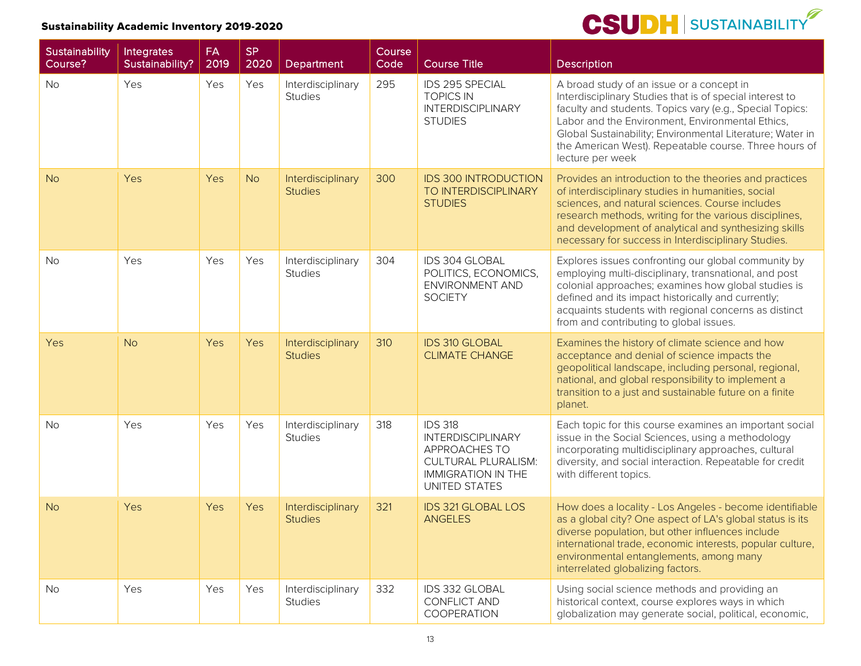

| Sustainability<br>Course? | Integrates<br>Sustainability? | <b>FA</b><br>2019 | <b>SP</b><br>2020 | Department                          | Course<br>Code | Course Title                                                                                                                                   | <b>Description</b>                                                                                                                                                                                                                                                                                                                                              |
|---------------------------|-------------------------------|-------------------|-------------------|-------------------------------------|----------------|------------------------------------------------------------------------------------------------------------------------------------------------|-----------------------------------------------------------------------------------------------------------------------------------------------------------------------------------------------------------------------------------------------------------------------------------------------------------------------------------------------------------------|
| <b>No</b>                 | Yes                           | Yes               | Yes               | Interdisciplinary<br><b>Studies</b> | 295            | IDS 295 SPECIAL<br><b>TOPICS IN</b><br><b>INTERDISCIPLINARY</b><br><b>STUDIES</b>                                                              | A broad study of an issue or a concept in<br>Interdisciplinary Studies that is of special interest to<br>faculty and students. Topics vary (e.g., Special Topics:<br>Labor and the Environment, Environmental Ethics,<br>Global Sustainability; Environmental Literature; Water in<br>the American West). Repeatable course. Three hours of<br>lecture per week |
| <b>No</b>                 | Yes                           | Yes               | <b>No</b>         | Interdisciplinary<br><b>Studies</b> | 300            | <b>IDS 300 INTRODUCTION</b><br>TO INTERDISCIPLINARY<br><b>STUDIES</b>                                                                          | Provides an introduction to the theories and practices<br>of interdisciplinary studies in humanities, social<br>sciences, and natural sciences. Course includes<br>research methods, writing for the various disciplines,<br>and development of analytical and synthesizing skills<br>necessary for success in Interdisciplinary Studies.                       |
| <b>No</b>                 | Yes                           | Yes               | Yes               | Interdisciplinary<br><b>Studies</b> | 304            | IDS 304 GLOBAL<br>POLITICS, ECONOMICS,<br>ENVIRONMENT AND<br><b>SOCIETY</b>                                                                    | Explores issues confronting our global community by<br>employing multi-disciplinary, transnational, and post<br>colonial approaches; examines how global studies is<br>defined and its impact historically and currently;<br>acquaints students with regional concerns as distinct<br>from and contributing to global issues.                                   |
| Yes                       | <b>No</b>                     | <b>Yes</b>        | Yes               | Interdisciplinary<br><b>Studies</b> | 310            | <b>IDS 310 GLOBAL</b><br><b>CLIMATE CHANGE</b>                                                                                                 | Examines the history of climate science and how<br>acceptance and denial of science impacts the<br>geopolitical landscape, including personal, regional,<br>national, and global responsibility to implement a<br>transition to a just and sustainable future on a finite<br>planet.                                                                            |
| <b>No</b>                 | Yes                           | Yes               | Yes               | Interdisciplinary<br><b>Studies</b> | 318            | <b>IDS 318</b><br><b>INTERDISCIPLINARY</b><br>APPROACHES TO<br><b>CULTURAL PLURALISM:</b><br><b>IMMIGRATION IN THE</b><br><b>UNITED STATES</b> | Each topic for this course examines an important social<br>issue in the Social Sciences, using a methodology<br>incorporating multidisciplinary approaches, cultural<br>diversity, and social interaction. Repeatable for credit<br>with different topics.                                                                                                      |
| <b>No</b>                 | Yes                           | Yes               | Yes               | Interdisciplinary<br><b>Studies</b> | 321            | <b>IDS 321 GLOBAL LOS</b><br><b>ANGELES</b>                                                                                                    | How does a locality - Los Angeles - become identifiable<br>as a global city? One aspect of LA's global status is its<br>diverse population, but other influences include<br>international trade, economic interests, popular culture,<br>environmental entanglements, among many<br>interrelated globalizing factors.                                           |
| No                        | Yes                           | Yes               | Yes               | Interdisciplinary<br><b>Studies</b> | 332            | IDS 332 GLOBAL<br>CONFLICT AND<br>COOPERATION                                                                                                  | Using social science methods and providing an<br>historical context, course explores ways in which<br>globalization may generate social, political, economic,                                                                                                                                                                                                   |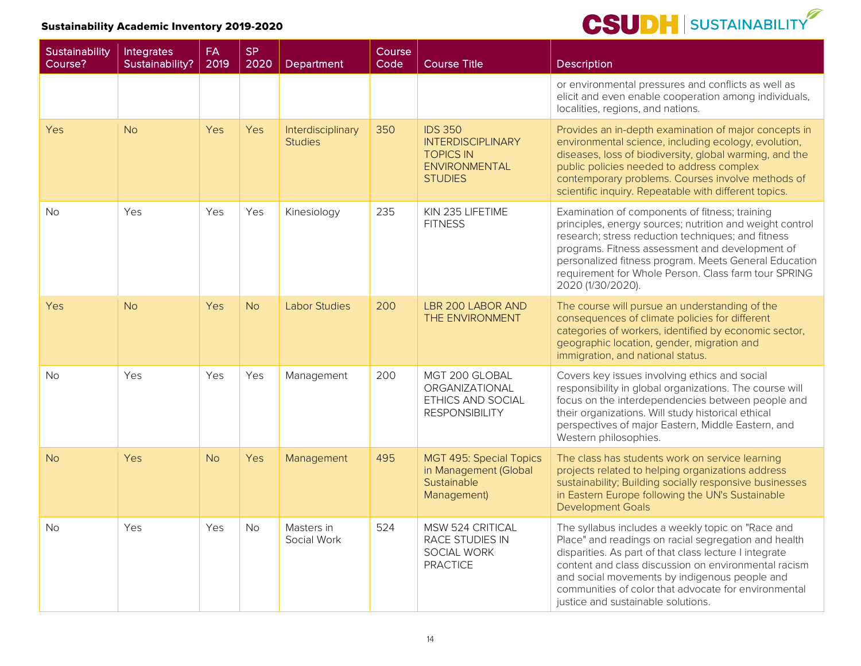| Sustainability<br>Course? | Integrates<br>Sustainability? | <b>FA</b><br>2019 | <b>SP</b><br>2020 | Department                          | Course<br>Code | <b>Course Title</b>                                                                                      | <b>Description</b>                                                                                                                                                                                                                                                                                                                                                         |
|---------------------------|-------------------------------|-------------------|-------------------|-------------------------------------|----------------|----------------------------------------------------------------------------------------------------------|----------------------------------------------------------------------------------------------------------------------------------------------------------------------------------------------------------------------------------------------------------------------------------------------------------------------------------------------------------------------------|
|                           |                               |                   |                   |                                     |                |                                                                                                          | or environmental pressures and conflicts as well as<br>elicit and even enable cooperation among individuals,<br>localities, regions, and nations.                                                                                                                                                                                                                          |
| <b>Yes</b>                | No                            | <b>Yes</b>        | Yes               | Interdisciplinary<br><b>Studies</b> | 350            | <b>IDS 350</b><br><b>INTERDISCIPLINARY</b><br><b>TOPICS IN</b><br><b>ENVIRONMENTAL</b><br><b>STUDIES</b> | Provides an in-depth examination of major concepts in<br>environmental science, including ecology, evolution,<br>diseases, loss of biodiversity, global warming, and the<br>public policies needed to address complex<br>contemporary problems. Courses involve methods of<br>scientific inquiry. Repeatable with different topics.                                        |
| <b>No</b>                 | Yes                           | Yes               | Yes               | Kinesiology                         | 235            | KIN 235 LIFETIME<br><b>FITNESS</b>                                                                       | Examination of components of fitness; training<br>principles, energy sources; nutrition and weight control<br>research; stress reduction techniques; and fitness<br>programs. Fitness assessment and development of<br>personalized fitness program. Meets General Education<br>requirement for Whole Person. Class farm tour SPRING<br>2020 (1/30/2020).                  |
| <b>Yes</b>                | No                            | Yes               | <b>No</b>         | Labor Studies                       | 200            | <b>LBR 200 LABOR AND</b><br>THE ENVIRONMENT                                                              | The course will pursue an understanding of the<br>consequences of climate policies for different<br>categories of workers, identified by economic sector,<br>geographic location, gender, migration and<br>immigration, and national status.                                                                                                                               |
| <b>No</b>                 | Yes                           | <b>Yes</b>        | Yes               | Management                          | 200            | MGT 200 GLOBAL<br>ORGANIZATIONAL<br>ETHICS AND SOCIAL<br><b>RESPONSIBILITY</b>                           | Covers key issues involving ethics and social<br>responsibility in global organizations. The course will<br>focus on the interdependencies between people and<br>their organizations. Will study historical ethical<br>perspectives of major Eastern, Middle Eastern, and<br>Western philosophies.                                                                         |
| <b>No</b>                 | Yes                           | <b>No</b>         | Yes               | Management                          | 495            | <b>MGT 495: Special Topics</b><br>in Management (Global<br>Sustainable<br>Management)                    | The class has students work on service learning<br>projects related to helping organizations address<br>sustainability; Building socially responsive businesses<br>in Eastern Europe following the UN's Sustainable<br><b>Development Goals</b>                                                                                                                            |
| <b>No</b>                 | Yes                           | Yes               | <b>No</b>         | Masters in<br>Social Work           | 524            | MSW 524 CRITICAL<br>RACE STUDIES IN<br>SOCIAL WORK<br><b>PRACTICE</b>                                    | The syllabus includes a weekly topic on "Race and<br>Place" and readings on racial segregation and health<br>disparities. As part of that class lecture I integrate<br>content and class discussion on environmental racism<br>and social movements by indigenous people and<br>communities of color that advocate for environmental<br>justice and sustainable solutions. |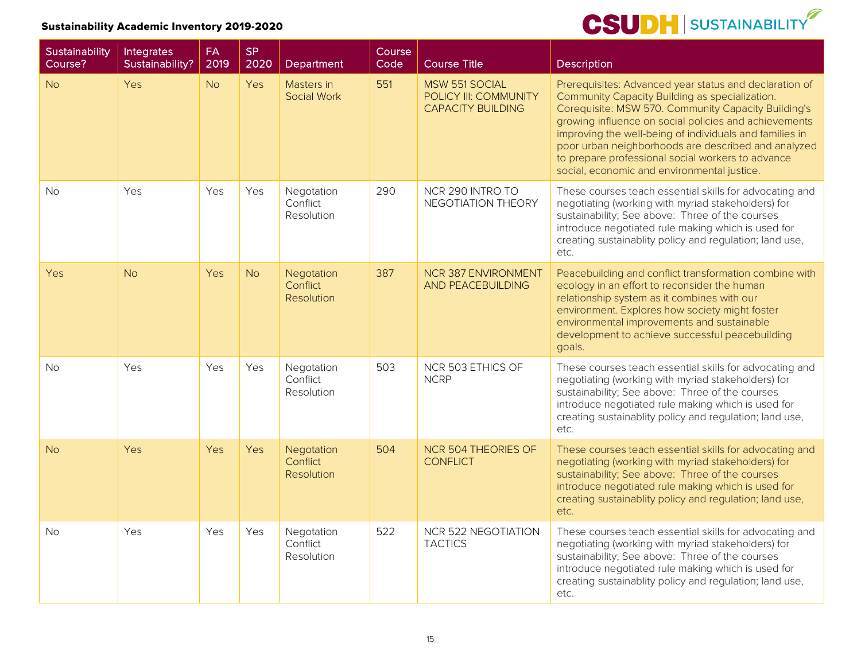| Sustainability<br>Course? | Integrates<br>Sustainability? | <b>FA</b><br>2019 | <b>SP</b><br>2020 | Department                                  | Course<br>Code | <b>Course Title</b>                                                        | <b>Description</b>                                                                                                                                                                                                                                                                                                                                                                                                                             |
|---------------------------|-------------------------------|-------------------|-------------------|---------------------------------------------|----------------|----------------------------------------------------------------------------|------------------------------------------------------------------------------------------------------------------------------------------------------------------------------------------------------------------------------------------------------------------------------------------------------------------------------------------------------------------------------------------------------------------------------------------------|
| <b>No</b>                 | Yes                           | <b>No</b>         | Yes               | Masters in<br><b>Social Work</b>            | 551            | <b>MSW 551 SOCIAL</b><br>POLICY III: COMMUNITY<br><b>CAPACITY BUILDING</b> | Prerequisites: Advanced year status and declaration of<br>Community Capacity Building as specialization.<br>Corequisite: MSW 570. Community Capacity Building's<br>growing influence on social policies and achievements<br>improving the well-being of individuals and families in<br>poor urban neighborhoods are described and analyzed<br>to prepare professional social workers to advance<br>social, economic and environmental justice. |
| No.                       | Yes                           | Yes               | Yes               | Negotation<br>Conflict<br>Resolution        | 290            | NCR 290 INTRO TO<br>NEGOTIATION THEORY                                     | These courses teach essential skills for advocating and<br>negotiating (working with myriad stakeholders) for<br>sustainability; See above: Three of the courses<br>introduce negotiated rule making which is used for<br>creating sustainablity policy and regulation; land use,<br>etc.                                                                                                                                                      |
| <b>Yes</b>                | <b>No</b>                     | Yes               | <b>No</b>         | Negotation<br>Conflict<br><b>Resolution</b> | 387            | <b>NCR 387 ENVIRONMENT</b><br><b>AND PEACEBUILDING</b>                     | Peacebuilding and conflict transformation combine with<br>ecology in an effort to reconsider the human<br>relationship system as it combines with our<br>environment. Explores how society might foster<br>environmental improvements and sustainable<br>development to achieve successful peacebuilding<br>goals.                                                                                                                             |
| <b>No</b>                 | Yes                           | Yes               | Yes               | Negotation<br>Conflict<br>Resolution        | 503            | NCR 503 ETHICS OF<br><b>NCRP</b>                                           | These courses teach essential skills for advocating and<br>negotiating (working with myriad stakeholders) for<br>sustainability; See above: Three of the courses<br>introduce negotiated rule making which is used for<br>creating sustainablity policy and regulation; land use,<br>etc.                                                                                                                                                      |
| No                        | Yes                           | Yes               | Yes               | Negotation<br>Conflict<br><b>Resolution</b> | 504            | <b>NCR 504 THEORIES OF</b><br><b>CONFLICT</b>                              | These courses teach essential skills for advocating and<br>negotiating (working with myriad stakeholders) for<br>sustainability; See above: Three of the courses<br>introduce negotiated rule making which is used for<br>creating sustainablity policy and regulation; land use,<br>etc.                                                                                                                                                      |
| <b>No</b>                 | Yes                           | Yes               | Yes               | Negotation<br>Conflict<br>Resolution        | 522            | NCR 522 NEGOTIATION<br><b>TACTICS</b>                                      | These courses teach essential skills for advocating and<br>negotiating (working with myriad stakeholders) for<br>sustainability; See above: Three of the courses<br>introduce negotiated rule making which is used for<br>creating sustainablity policy and regulation; land use,<br>etc.                                                                                                                                                      |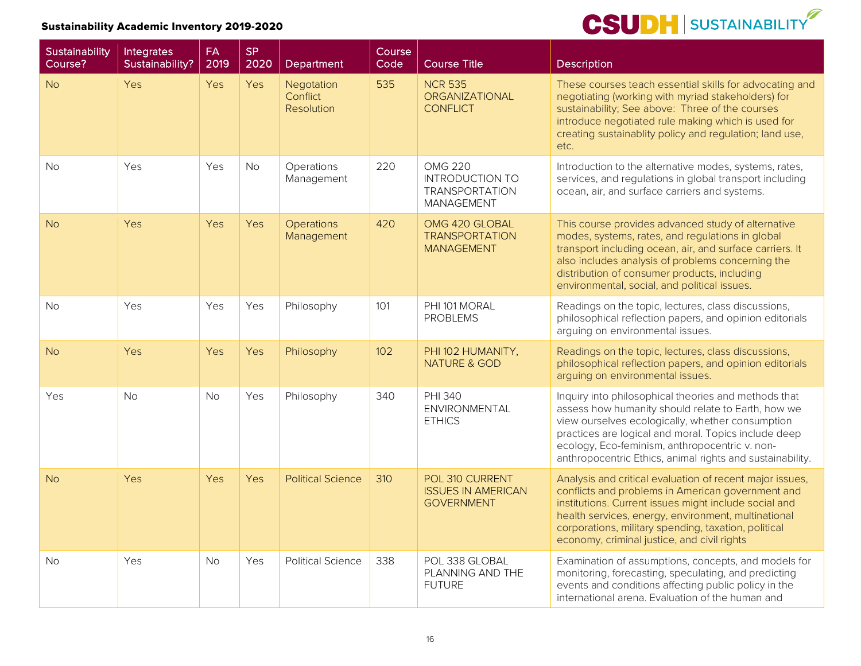| <b>Sustainability</b><br>Course? | Integrates<br>Sustainability? | <b>FA</b><br>2019 | <b>SP</b><br>2020 | Department                           | Course<br>Code | <b>Course Title</b>                                                                    | <b>Description</b>                                                                                                                                                                                                                                                                                                                    |
|----------------------------------|-------------------------------|-------------------|-------------------|--------------------------------------|----------------|----------------------------------------------------------------------------------------|---------------------------------------------------------------------------------------------------------------------------------------------------------------------------------------------------------------------------------------------------------------------------------------------------------------------------------------|
| <b>No</b>                        | Yes                           | Yes               | Yes               | Negotation<br>Conflict<br>Resolution | 535            | <b>NCR 535</b><br><b>ORGANIZATIONAL</b><br><b>CONFLICT</b>                             | These courses teach essential skills for advocating and<br>negotiating (working with myriad stakeholders) for<br>sustainability; See above: Three of the courses<br>introduce negotiated rule making which is used for<br>creating sustainablity policy and regulation; land use,<br>etc.                                             |
| <b>No</b>                        | Yes                           | Yes               | <b>No</b>         | Operations<br>Management             | 220            | <b>OMG 220</b><br><b>INTRODUCTION TO</b><br><b>TRANSPORTATION</b><br><b>MANAGEMENT</b> | Introduction to the alternative modes, systems, rates,<br>services, and regulations in global transport including<br>ocean, air, and surface carriers and systems.                                                                                                                                                                    |
| <b>No</b>                        | Yes                           | Yes               | Yes               | <b>Operations</b><br>Management      | 420            | OMG 420 GLOBAL<br><b>TRANSPORTATION</b><br><b>MANAGEMENT</b>                           | This course provides advanced study of alternative<br>modes, systems, rates, and regulations in global<br>transport including ocean, air, and surface carriers. It<br>also includes analysis of problems concerning the<br>distribution of consumer products, including<br>environmental, social, and political issues.               |
| <b>No</b>                        | Yes                           | Yes               | Yes               | Philosophy                           | 101            | PHI 101 MORAL<br><b>PROBLEMS</b>                                                       | Readings on the topic, lectures, class discussions,<br>philosophical reflection papers, and opinion editorials<br>arguing on environmental issues.                                                                                                                                                                                    |
| <b>No</b>                        | Yes                           | Yes               | Yes               | Philosophy                           | 102            | PHI 102 HUMANITY,<br><b>NATURE &amp; GOD</b>                                           | Readings on the topic, lectures, class discussions,<br>philosophical reflection papers, and opinion editorials<br>arguing on environmental issues.                                                                                                                                                                                    |
| <b>Yes</b>                       | <b>No</b>                     | <b>No</b>         | Yes               | Philosophy                           | 340            | <b>PHI 340</b><br>ENVIRONMENTAL<br><b>ETHICS</b>                                       | Inquiry into philosophical theories and methods that<br>assess how humanity should relate to Earth, how we<br>view ourselves ecologically, whether consumption<br>practices are logical and moral. Topics include deep<br>ecology, Eco-feminism, anthropocentric v. non-<br>anthropocentric Ethics, animal rights and sustainability. |
| <b>No</b>                        | Yes                           | <b>Yes</b>        | Yes               | <b>Political Science</b>             | 310            | POL 310 CURRENT<br><b>ISSUES IN AMERICAN</b><br><b>GOVERNMENT</b>                      | Analysis and critical evaluation of recent major issues,<br>conflicts and problems in American government and<br>institutions. Current issues might include social and<br>health services, energy, environment, multinational<br>corporations, military spending, taxation, political<br>economy, criminal justice, and civil rights  |
| <b>No</b>                        | Yes                           | <b>No</b>         | Yes               | <b>Political Science</b>             | 338            | POL 338 GLOBAL<br>PLANNING AND THE<br><b>FUTURE</b>                                    | Examination of assumptions, concepts, and models for<br>monitoring, forecasting, speculating, and predicting<br>events and conditions affecting public policy in the<br>international arena. Evaluation of the human and                                                                                                              |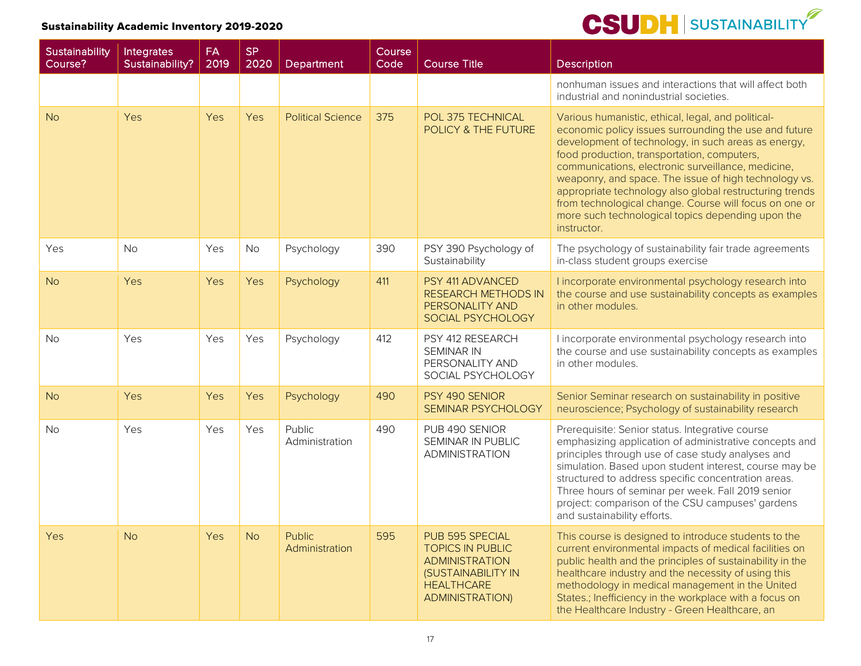| Sustainability<br>Course? | Integrates<br>Sustainability? | FA<br>2019 | <b>SP</b><br>2020 | Department                      | Course<br>Code | <b>Course Title</b>                                                                                                                             | <b>Description</b>                                                                                                                                                                                                                                                                                                                                                                                                                                                                                                        |
|---------------------------|-------------------------------|------------|-------------------|---------------------------------|----------------|-------------------------------------------------------------------------------------------------------------------------------------------------|---------------------------------------------------------------------------------------------------------------------------------------------------------------------------------------------------------------------------------------------------------------------------------------------------------------------------------------------------------------------------------------------------------------------------------------------------------------------------------------------------------------------------|
|                           |                               |            |                   |                                 |                |                                                                                                                                                 | nonhuman issues and interactions that will affect both<br>industrial and nonindustrial societies.                                                                                                                                                                                                                                                                                                                                                                                                                         |
| <b>No</b>                 | Yes                           | Yes        | Yes               | <b>Political Science</b>        | 375            | POL 375 TECHNICAL<br>POLICY & THE FUTURE                                                                                                        | Various humanistic, ethical, legal, and political-<br>economic policy issues surrounding the use and future<br>development of technology, in such areas as energy,<br>food production, transportation, computers,<br>communications, electronic surveillance, medicine,<br>weaponry, and space. The issue of high technology vs.<br>appropriate technology also global restructuring trends<br>from technological change. Course will focus on one or<br>more such technological topics depending upon the<br>instructor. |
| Yes                       | <b>No</b>                     | Yes        | No                | Psychology                      | 390            | PSY 390 Psychology of<br>Sustainability                                                                                                         | The psychology of sustainability fair trade agreements<br>in-class student groups exercise                                                                                                                                                                                                                                                                                                                                                                                                                                |
| <b>No</b>                 | Yes                           | Yes        | Yes               | Psychology                      | 411            | PSY 411 ADVANCED<br><b>RESEARCH METHODS IN</b><br>PERSONALITY AND<br>SOCIAL PSYCHOLOGY                                                          | I incorporate environmental psychology research into<br>the course and use sustainability concepts as examples<br>in other modules.                                                                                                                                                                                                                                                                                                                                                                                       |
| <b>No</b>                 | Yes                           | Yes        | Yes               | Psychology                      | 412            | PSY 412 RESEARCH<br><b>SEMINAR IN</b><br>PERSONALITY AND<br>SOCIAL PSYCHOLOGY                                                                   | I incorporate environmental psychology research into<br>the course and use sustainability concepts as examples<br>in other modules.                                                                                                                                                                                                                                                                                                                                                                                       |
| <b>No</b>                 | Yes                           | Yes        | Yes               | Psychology                      | 490            | PSY 490 SENIOR<br>SEMINAR PSYCHOLOGY                                                                                                            | Senior Seminar research on sustainability in positive<br>neuroscience; Psychology of sustainability research                                                                                                                                                                                                                                                                                                                                                                                                              |
| No                        | Yes                           | Yes        | Yes               | Public<br>Administration        | 490            | PUB 490 SENIOR<br>SEMINAR IN PUBLIC<br><b>ADMINISTRATION</b>                                                                                    | Prerequisite: Senior status. Integrative course<br>emphasizing application of administrative concepts and<br>principles through use of case study analyses and<br>simulation. Based upon student interest, course may be<br>structured to address specific concentration areas.<br>Three hours of seminar per week. Fall 2019 senior<br>project: comparison of the CSU campuses' gardens<br>and sustainability efforts.                                                                                                   |
| Yes                       | <b>No</b>                     | Yes        | <b>No</b>         | <b>Public</b><br>Administration | 595            | PUB 595 SPECIAL<br><b>TOPICS IN PUBLIC</b><br><b>ADMINISTRATION</b><br><b>(SUSTAINABILITY IN</b><br><b>HEALTHCARE</b><br><b>ADMINISTRATION)</b> | This course is designed to introduce students to the<br>current environmental impacts of medical facilities on<br>public health and the principles of sustainability in the<br>healthcare industry and the necessity of using this<br>methodology in medical management in the United<br>States.; Inefficiency in the workplace with a focus on<br>the Healthcare Industry - Green Healthcare, an                                                                                                                         |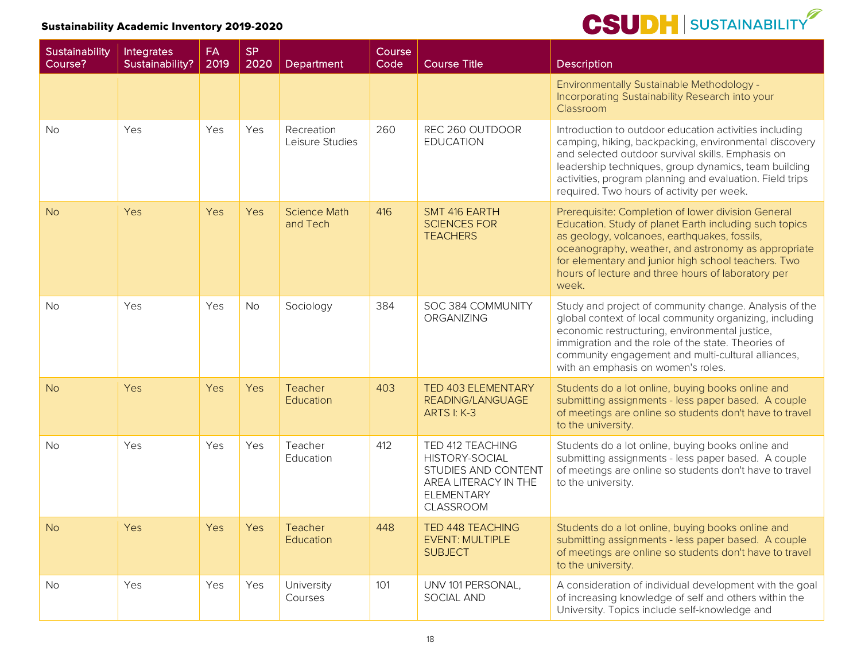| Sustainability<br>Course? | Integrates<br>Sustainability? | <b>FA</b><br>2019 | <b>SP</b><br>2020 | Department                      | Course<br>Code | <b>Course Title</b>                                                                                                               | <b>Description</b>                                                                                                                                                                                                                                                                                                                        |
|---------------------------|-------------------------------|-------------------|-------------------|---------------------------------|----------------|-----------------------------------------------------------------------------------------------------------------------------------|-------------------------------------------------------------------------------------------------------------------------------------------------------------------------------------------------------------------------------------------------------------------------------------------------------------------------------------------|
|                           |                               |                   |                   |                                 |                |                                                                                                                                   | Environmentally Sustainable Methodology -<br>Incorporating Sustainability Research into your<br>Classroom                                                                                                                                                                                                                                 |
| <b>No</b>                 | Yes                           | Yes               | Yes               | Recreation<br>Leisure Studies   | 260            | REC 260 OUTDOOR<br><b>EDUCATION</b>                                                                                               | Introduction to outdoor education activities including<br>camping, hiking, backpacking, environmental discovery<br>and selected outdoor survival skills. Emphasis on<br>leadership techniques, group dynamics, team building<br>activities, program planning and evaluation. Field trips<br>required. Two hours of activity per week.     |
| <b>No</b>                 | Yes                           | Yes               | Yes               | <b>Science Math</b><br>and Tech | 416            | SMT 416 EARTH<br><b>SCIENCES FOR</b><br><b>TEACHERS</b>                                                                           | Prerequisite: Completion of lower division General<br>Education. Study of planet Earth including such topics<br>as geology, volcanoes, earthquakes, fossils,<br>oceanography, weather, and astronomy as appropriate<br>for elementary and junior high school teachers. Two<br>hours of lecture and three hours of laboratory per<br>week. |
| <b>No</b>                 | Yes                           | Yes               | <b>No</b>         | Sociology                       | 384            | SOC 384 COMMUNITY<br><b>ORGANIZING</b>                                                                                            | Study and project of community change. Analysis of the<br>global context of local community organizing, including<br>economic restructuring, environmental justice,<br>immigration and the role of the state. Theories of<br>community engagement and multi-cultural alliances,<br>with an emphasis on women's roles.                     |
| <b>No</b>                 | Yes                           | Yes               | Yes               | Teacher<br>Education            | 403            | <b>TED 403 ELEMENTARY</b><br><b>READING/LANGUAGE</b><br><b>ARTS I: K-3</b>                                                        | Students do a lot online, buying books online and<br>submitting assignments - less paper based. A couple<br>of meetings are online so students don't have to travel<br>to the university.                                                                                                                                                 |
| <b>No</b>                 | Yes                           | Yes               | Yes               | Teacher<br>Education            | 412            | TED 412 TEACHING<br><b>HISTORY-SOCIAL</b><br>STUDIES AND CONTENT<br>AREA LITERACY IN THE<br><b>ELEMENTARY</b><br><b>CLASSROOM</b> | Students do a lot online, buying books online and<br>submitting assignments - less paper based. A couple<br>of meetings are online so students don't have to travel<br>to the university.                                                                                                                                                 |
| N <sub>o</sub>            | Yes                           | Yes               | Yes               | Teacher<br>Education            | 448            | <b>TED 448 TEACHING</b><br><b>EVENT: MULTIPLE</b><br><b>SUBJECT</b>                                                               | Students do a lot online, buying books online and<br>submitting assignments - less paper based. A couple<br>of meetings are online so students don't have to travel<br>to the university.                                                                                                                                                 |
| No                        | Yes                           | Yes               | Yes               | University<br>Courses           | 101            | UNV 101 PERSONAL,<br>SOCIAL AND                                                                                                   | A consideration of individual development with the goal<br>of increasing knowledge of self and others within the<br>University. Topics include self-knowledge and                                                                                                                                                                         |